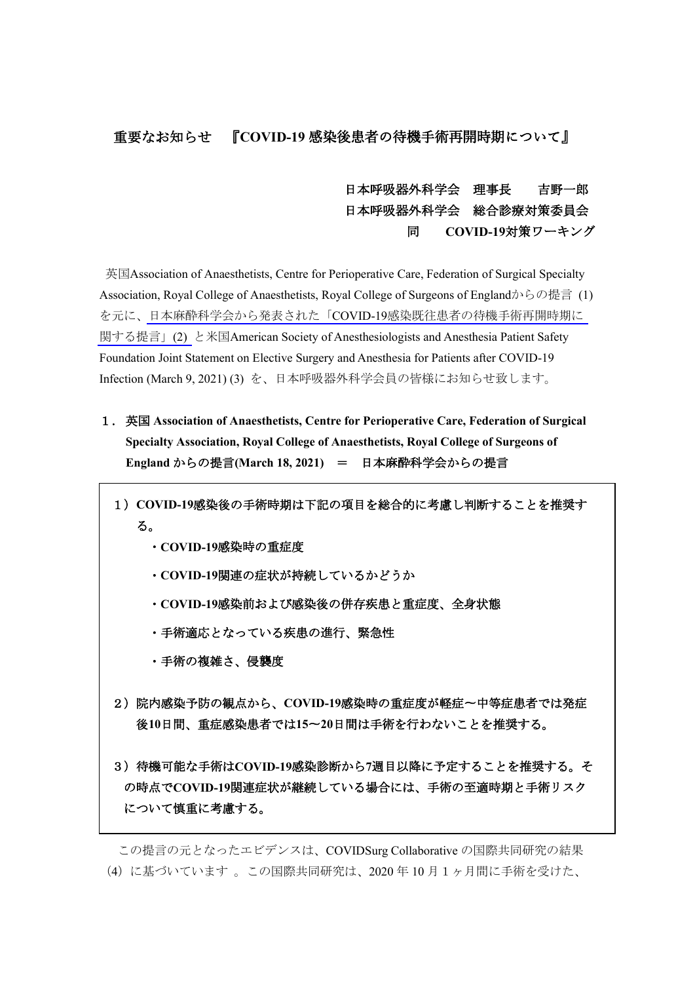## 重要なお知らせ 『**COVID-19** 感染後患者の待機手術再開時期について』

## 日本呼吸器外科学会 理事長 吉野一郎 日本呼吸器外科学会 総合診療対策委員会 同 **COVID-19**対策ワーキング

英国Association of Anaesthetists, Centre for Perioperative Care, Federation of Surgical Specialty Association, Royal College of Anaesthetists, Royal College of Surgeons of Englandからの提言 (1) を元に、日本麻酔科学会から発表された「COVID-19[感染既往患者の待機手術再開時期に](https://anesth.or.jp/img/upload/ckeditor/files/COVID-19%E6%84%9F%E6%9F%93%E6%97%A2%E5%BE%80%E6%82%A3%E8%80%85%E3%81%AE%E5%BE%85%E6%A9%9F%E6%89%8B%E8%A1%93%E5%86%8D%E9%96%8B%E6%99%82%E6%9C%9F%E3%81%AB%E9%96%A2%E3%81%99%E3%82%8B%E6%8F%90%E8%A8%80.pdf) [関する提言」](https://anesth.or.jp/img/upload/ckeditor/files/COVID-19%E6%84%9F%E6%9F%93%E6%97%A2%E5%BE%80%E6%82%A3%E8%80%85%E3%81%AE%E5%BE%85%E6%A9%9F%E6%89%8B%E8%A1%93%E5%86%8D%E9%96%8B%E6%99%82%E6%9C%9F%E3%81%AB%E9%96%A2%E3%81%99%E3%82%8B%E6%8F%90%E8%A8%80.pdf)(2) と米国American Society of Anesthesiologists and Anesthesia Patient Safety Foundation Joint Statement on Elective Surgery and Anesthesia for Patients after COVID-19 Infection (March 9, 2021) (3) を、日本呼吸器外科学会員の皆様にお知らせ致します。

- 1.英国 **Association of Anaesthetists, Centre for Perioperative Care, Federation of Surgical Specialty Association, Royal College of Anaesthetists, Royal College of Surgeons of England** からの提言**(March 18, 2021)** = 日本麻酔科学会からの提言
	- 1)**COVID-19**感染後の手術時期は下記の項目を総合的に考慮し判断することを推奨す る。
		- ・**COVID-19**感染時の重症度
		- ・**COVID-19**関連の症状が持続しているかどうか
		- ・**COVID-19**感染前および感染後の併存疾患と重症度、全身状態
		- ・手術適応となっている疾患の進行、緊急性
		- ・手術の複雑さ、侵襲度
	- 2)院内感染予防の観点から、**COVID-19**感染時の重症度が軽症〜中等症患者では発症 後**10**日間、重症感染患者では**15**〜**20**日間は手術を行わないことを推奨する。
	- 3)待機可能な手術は**COVID-19**感染診断から**7**週目以降に予定することを推奨する。そ の時点で**COVID-19**関連症状が継続している場合には、手術の至適時期と手術リスク について慎重に考慮する。

この提言の元となったエビデンスは、COVIDSurg Collaborative の国際共同研究の結果 (4)に基づいています 。この国際共同研究は、2020 年 10 月1ヶ月間に手術を受けた、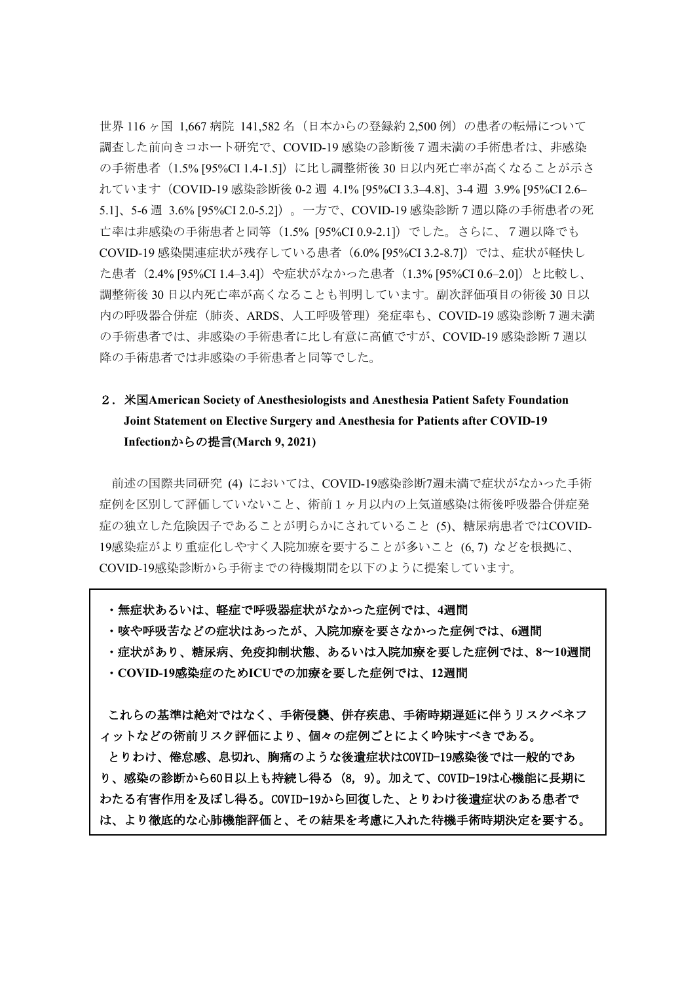世界 116ヶ国 1.667 病院 141.582 名(日本からの登録約 2.500 例)の患者の転帰について 調査した前向きコホート研究で、COVID-19 感染の診断後7週未満の手術患者は、非感染 の手術患者 (1.5% [95%CI 1.4-1.5]) に比し調整術後 30 日以内死亡率が高くなることが示さ れています(COVID-19 感染診断後 0-2 週 4.1% [95%CI 3.3–4.8]、3-4 週 3.9% [95%CI 2.6– 5.1]、5-6 週 3.6% [95%CI 2.0-5.2])。一方で、COVID-19 感染診断 7 週以降の手術患者の死 亡率は非感染の手術患者と同等(1.5% [95%CI 0.9-2.1])でした。さらに、7週以降でも COVID-19 感染関連症状が残存している患者(6.0% [95%CI 3.2-8.7])では、症状が軽快し た患者 (2.4% [95%CI 1.4–3.4]) や症状がなかった患者 (1.3% [95%CI 0.6–2.0]) と比較し、 調整術後 30 日以内死亡率が高くなることも判明しています。副次評価項目の術後 30 日以 内の呼吸器合併症(肺炎、ARDS、人工呼吸管理)発症率も、COVID-19 感染診断 7 週未満 の手術患者では、非感染の手術患者に比し有意に高値ですが、COVID-19 感染診断 7 週以 降の手術患者では非感染の手術患者と同等でした。

## 2.米国**American Society of Anesthesiologists and Anesthesia Patient Safety Foundation Joint Statement on Elective Surgery and Anesthesia for Patients after COVID-19 Infection**からの提言**(March 9, 2021)**

前述の国際共同研究 (4) においては、COVID-19感染診断7週未満で症状がなかった手術 症例を区別して評価していないこと、術前1ヶ月以内の上気道感染は術後呼吸器合併症発 症の独立した危険因子であることが明らかにされていること (5)、糖尿病患者ではCOVID-19感染症がより重症化しやすく入院加療を要することが多いこと (6, 7) などを根拠に、 COVID-19感染診断から手術までの待機期間を以下のように提案しています。

・無症状あるいは、軽症で呼吸器症状がなかった症例では、**4**週間

・咳や呼吸苦などの症状はあったが、入院加療を要さなかった症例では、**6**週間

・症状があり、糖尿病、免疫抑制状態、あるいは入院加療を要した症例では、**8**〜**10**週間 ・**COVID-19**感染症のため**ICU**での加療を要した症例では、**12**週間

これらの基準は絶対ではなく、手術侵襲、併存疾患、手術時期遅延に伴うリスクベネフ ィットなどの術前リスク評価により、個々の症例ごとによく吟味すべきである。 とりわけ、倦怠感、息切れ、胸痛のような後遺症状はCOVID-19感染後では一般的であ り、感染の診断から60日以上も持続し得る (8, 9)。加えて、COVID-19は心機能に長期に わたる有害作用を及ぼし得る。COVID-19から回復した、とりわけ後遺症状のある患者で は、より徹底的な心肺機能評価と、その結果を考慮に入れた待機手術時期決定を要する。